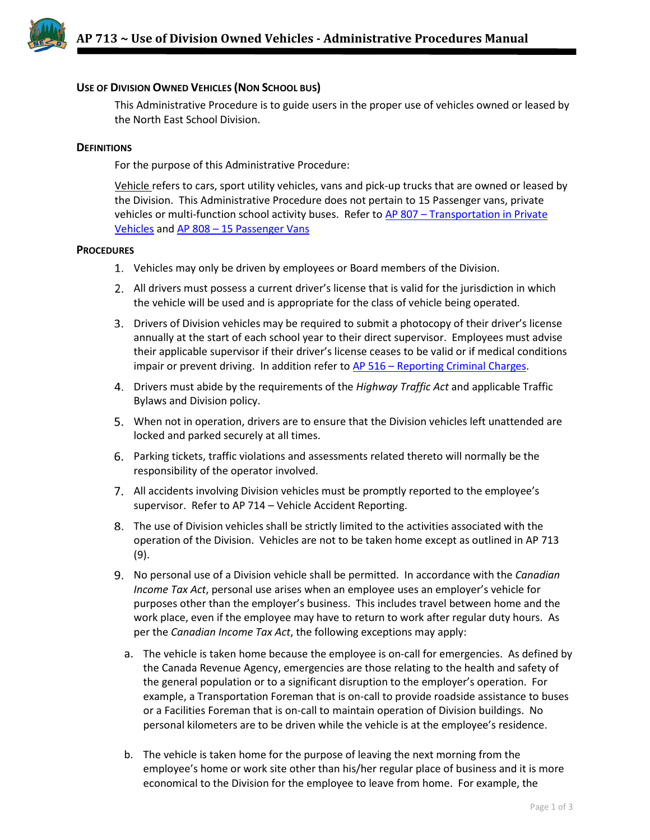

## **USE OF DIVISION OWNED VEHICLES (NON SCHOOL BUS)**

This Administrative Procedure is to guide users in the proper use of vehicles owned or leased by the North East School Division.

## **DEFINITIONS**

For the purpose of this Administrative Procedure:

Vehicle refers to cars, sport utility vehicles, vans and pick-up trucks that are owned or leased by the Division. This Administrative Procedure does not pertain to 15 Passenger vans, private vehicles or multi-function school activity buses. Refer to AP 807 – [Transportation in Private](http://www.nesd.ca/Board/policiesprocedures/Documents/Module%208%20-%20Student%20Transportation/AP%20807.0-Transportation%20in%20private%20vehicles.pdf)  [Vehicles](http://www.nesd.ca/Board/policiesprocedures/Documents/Module%208%20-%20Student%20Transportation/AP%20807.0-Transportation%20in%20private%20vehicles.pdf) and AP 808 – [15 Passenger Vans](http://www.nesd.ca/Board/policiesprocedures/Documents/Module%208%20-%20Student%20Transportation/AP%20808-15%20Passenger%20Vans%20(rv.02%2014%202017).pdf)

## **PROCEDURES**

- Vehicles may only be driven by employees or Board members of the Division.
- All drivers must possess a current driver's license that is valid for the jurisdiction in which the vehicle will be used and is appropriate for the class of vehicle being operated.
- Drivers of Division vehicles may be required to submit a photocopy of their driver's license annually at the start of each school year to their direct supervisor. Employees must advise their applicable supervisor if their driver's license ceases to be valid or if medical conditions impair or prevent driving. In addition refer to AP 516 – [Reporting Criminal Charges.](http://www.nesd.ca/Board/policiesprocedures/Documents/Module%205%20-%20Human%20Resources/AP%20516%20-%20Reporting%20Criminal%20Charges.pdf)
- Drivers must abide by the requirements of the *Highway Traffic Act* and applicable Traffic Bylaws and Division policy.
- When not in operation, drivers are to ensure that the Division vehicles left unattended are locked and parked securely at all times.
- Parking tickets, traffic violations and assessments related thereto will normally be the responsibility of the operator involved.
- All accidents involving Division vehicles must be promptly reported to the employee's supervisor. Refer to AP 714 – Vehicle Accident Reporting.
- The use of Division vehicles shall be strictly limited to the activities associated with the operation of the Division. Vehicles are not to be taken home except as outlined in AP 713 (9).
- No personal use of a Division vehicle shall be permitted. In accordance with the *Canadian Income Tax Act*, personal use arises when an employee uses an employer's vehicle for purposes other than the employer's business. This includes travel between home and the work place, even if the employee may have to return to work after regular duty hours. As per the *Canadian Income Tax Act*, the following exceptions may apply:
	- a. The vehicle is taken home because the employee is on-call for emergencies. As defined by the Canada Revenue Agency, emergencies are those relating to the health and safety of the general population or to a significant disruption to the employer's operation. For example, a Transportation Foreman that is on-call to provide roadside assistance to buses or a Facilities Foreman that is on-call to maintain operation of Division buildings. No personal kilometers are to be driven while the vehicle is at the employee's residence.
	- b. The vehicle is taken home for the purpose of leaving the next morning from the employee's home or work site other than his/her regular place of business and it is more economical to the Division for the employee to leave from home. For example, the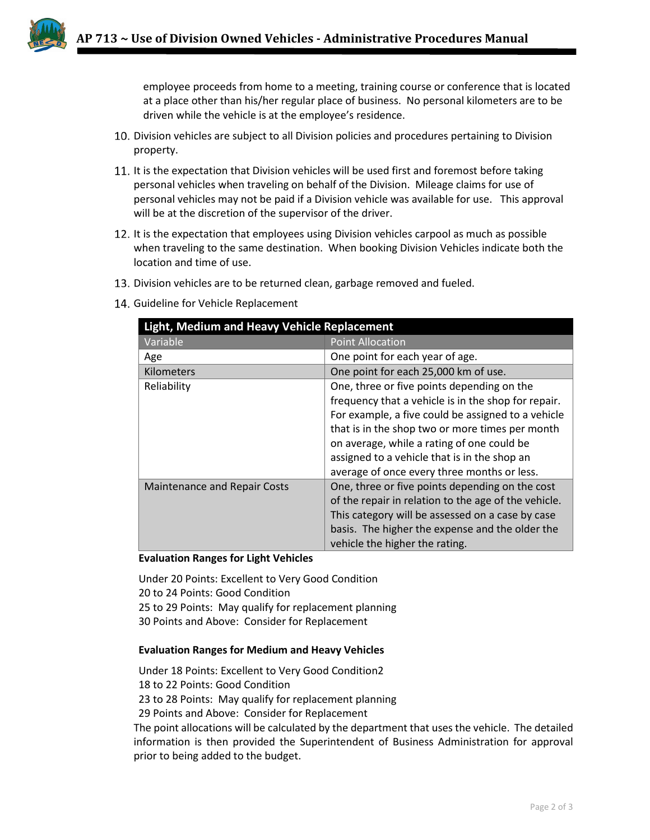employee proceeds from home to a meeting, training course or conference that is located at a place other than his/her regular place of business. No personal kilometers are to be driven while the vehicle is at the employee's residence.

- Division vehicles are subject to all Division policies and procedures pertaining to Division property.
- 11. It is the expectation that Division vehicles will be used first and foremost before taking personal vehicles when traveling on behalf of the Division. Mileage claims for use of personal vehicles may not be paid if a Division vehicle was available for use. This approval will be at the discretion of the supervisor of the driver.
- 12. It is the expectation that employees using Division vehicles carpool as much as possible when traveling to the same destination. When booking Division Vehicles indicate both the location and time of use.
- 13. Division vehicles are to be returned clean, garbage removed and fueled.
- 14. Guideline for Vehicle Replacement

| Light, Medium and Heavy Vehicle Replacement |                                                      |
|---------------------------------------------|------------------------------------------------------|
| Variable                                    | <b>Point Allocation</b>                              |
| Age                                         | One point for each year of age.                      |
| Kilometers                                  | One point for each 25,000 km of use.                 |
| Reliability                                 | One, three or five points depending on the           |
|                                             | frequency that a vehicle is in the shop for repair.  |
|                                             | For example, a five could be assigned to a vehicle   |
|                                             | that is in the shop two or more times per month      |
|                                             | on average, while a rating of one could be           |
|                                             | assigned to a vehicle that is in the shop an         |
|                                             | average of once every three months or less.          |
| <b>Maintenance and Repair Costs</b>         | One, three or five points depending on the cost      |
|                                             | of the repair in relation to the age of the vehicle. |
|                                             | This category will be assessed on a case by case     |
|                                             | basis. The higher the expense and the older the      |
|                                             | vehicle the higher the rating.                       |

**Evaluation Ranges for Light Vehicles**

Under 20 Points: Excellent to Very Good Condition 20 to 24 Points: Good Condition 25 to 29 Points: May qualify for replacement planning 30 Points and Above: Consider for Replacement

## **Evaluation Ranges for Medium and Heavy Vehicles**

Under 18 Points: Excellent to Very Good Condition2 18 to 22 Points: Good Condition 23 to 28 Points: May qualify for replacement planning 29 Points and Above: Consider for Replacement The point allocations will be calculated by the department that uses the vehicle. The detailed

information is then provided the Superintendent of Business Administration for approval prior to being added to the budget.